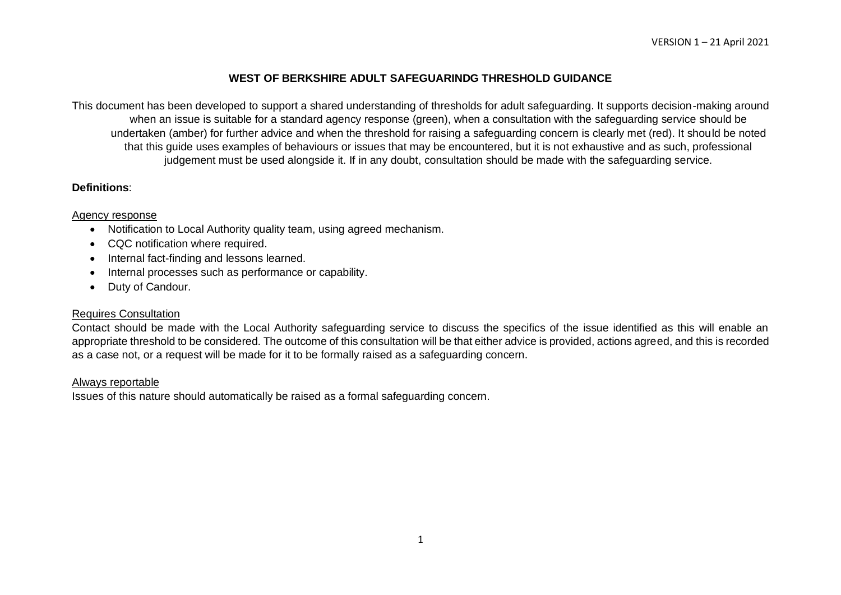## **WEST OF BERKSHIRE ADULT SAFEGUARINDG THRESHOLD GUIDANCE**

This document has been developed to support a shared understanding of thresholds for adult safeguarding. It supports decision-making around when an issue is suitable for a standard agency response (green), when a consultation with the safeguarding service should be undertaken (amber) for further advice and when the threshold for raising a safeguarding concern is clearly met (red). It should be noted that this guide uses examples of behaviours or issues that may be encountered, but it is not exhaustive and as such, professional judgement must be used alongside it. If in any doubt, consultation should be made with the safeguarding service.

## **Definitions**:

#### Agency response

- Notification to Local Authority quality team, using agreed mechanism.
- CQC notification where required.
- Internal fact-finding and lessons learned.
- Internal processes such as performance or capability.
- Duty of Candour.

## Requires Consultation

Contact should be made with the Local Authority safeguarding service to discuss the specifics of the issue identified as this will enable an appropriate threshold to be considered. The outcome of this consultation will be that either advice is provided, actions agreed, and this is recorded as a case not, or a request will be made for it to be formally raised as a safeguarding concern.

#### Always reportable

Issues of this nature should automatically be raised as a formal safeguarding concern.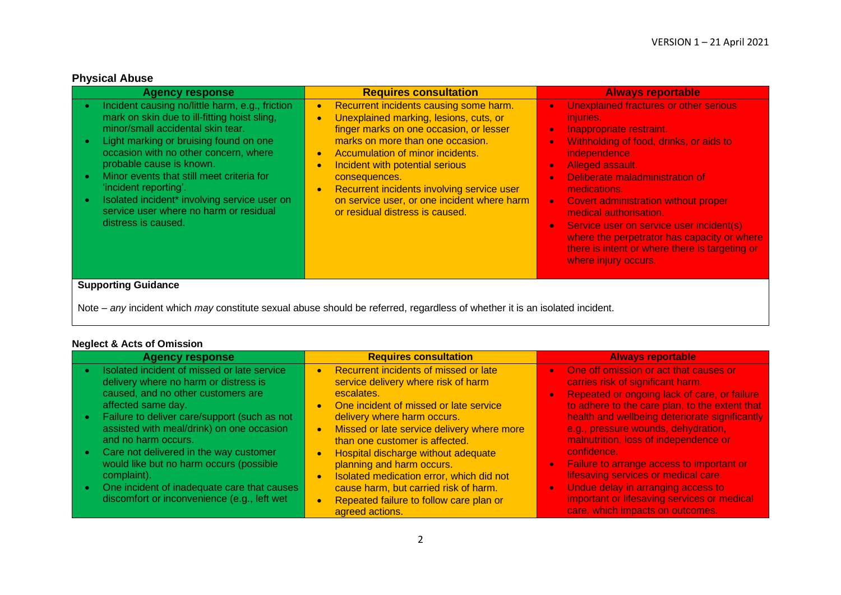# **Physical Abuse**

| <b>Agency response</b>                                                                                                                                                                                                                                                                                                                                                                                                                                                            | <b>Requires consultation</b>                                                                                                                                                                                                                                                                                                                                                                                                                             | <b>Always reportable</b>                                                                                                                                                                                                                                                                                                                                                                                                                                                                                                                       |
|-----------------------------------------------------------------------------------------------------------------------------------------------------------------------------------------------------------------------------------------------------------------------------------------------------------------------------------------------------------------------------------------------------------------------------------------------------------------------------------|----------------------------------------------------------------------------------------------------------------------------------------------------------------------------------------------------------------------------------------------------------------------------------------------------------------------------------------------------------------------------------------------------------------------------------------------------------|------------------------------------------------------------------------------------------------------------------------------------------------------------------------------------------------------------------------------------------------------------------------------------------------------------------------------------------------------------------------------------------------------------------------------------------------------------------------------------------------------------------------------------------------|
| Incident causing no/little harm, e.g., friction<br>$\bullet$<br>mark on skin due to ill-fitting hoist sling,<br>minor/small accidental skin tear.<br>Light marking or bruising found on one<br>occasion with no other concern, where<br>probable cause is known.<br>Minor events that still meet criteria for<br>$\bullet$<br>'incident reporting'.<br>Isolated incident* involving service user on<br>$\bullet$<br>service user where no harm or residual<br>distress is caused. | Recurrent incidents causing some harm.<br>$\bullet$<br>Unexplained marking, lesions, cuts, or<br>$\bullet$<br>finger marks on one occasion, or lesser<br>marks on more than one occasion.<br>Accumulation of minor incidents.<br>$\bullet$<br>Incident with potential serious<br>$\bullet$<br>consequences.<br>Recurrent incidents involving service user<br>$\bullet$<br>on service user, or one incident where harm<br>or residual distress is caused. | Unexplained fractures or other serious<br>$\bullet$<br>injuries.<br>Inappropriate restraint.<br>$\bullet$<br>Withholding of food, drinks, or aids to<br>$\bullet$<br>independence.<br><b>Alleged assault.</b><br>$\bullet$<br>Deliberate maladministration of<br>medications.<br>Covert administration without proper<br>$\bullet$<br>medical authorisation.<br>Service user on service user incident(s)<br>$\bullet$<br>where the perpetrator has capacity or where<br>there is intent or where there is targeting or<br>where injury occurs. |
| <b>Supporting Guidance</b>                                                                                                                                                                                                                                                                                                                                                                                                                                                        |                                                                                                                                                                                                                                                                                                                                                                                                                                                          |                                                                                                                                                                                                                                                                                                                                                                                                                                                                                                                                                |

Note – *any* incident which *may* constitute sexual abuse should be referred, regardless of whether it is an isolated incident.

# **Neglect & Acts of Omission**

| <b>Agency response</b>                                                                                                                                                                                                                                                                                                                                                                                                  | <b>Requires consultation</b>                                                                                                                                                                                                                                                                                                                                                                                                                                                  | <b>Always reportable</b>                                                                                                                                                                                                                                                                                                                                                                                                                                                                                |
|-------------------------------------------------------------------------------------------------------------------------------------------------------------------------------------------------------------------------------------------------------------------------------------------------------------------------------------------------------------------------------------------------------------------------|-------------------------------------------------------------------------------------------------------------------------------------------------------------------------------------------------------------------------------------------------------------------------------------------------------------------------------------------------------------------------------------------------------------------------------------------------------------------------------|---------------------------------------------------------------------------------------------------------------------------------------------------------------------------------------------------------------------------------------------------------------------------------------------------------------------------------------------------------------------------------------------------------------------------------------------------------------------------------------------------------|
| Isolated incident of missed or late service<br>delivery where no harm or distress is<br>caused, and no other customers are<br>affected same day.<br>Failure to deliver care/support (such as not<br>assisted with meal/drink) on one occasion<br>and no harm occurs.<br>Care not delivered in the way customer<br>would like but no harm occurs (possible<br>complaint).<br>One incident of inadequate care that causes | Recurrent incidents of missed or late<br>$\bullet$<br>service delivery where risk of harm<br>escalates.<br>One incident of missed or late service<br>$\bullet$<br>delivery where harm occurs.<br>Missed or late service delivery where more<br>$\bullet$<br>than one customer is affected.<br>Hospital discharge without adequate<br>$\bullet$<br>planning and harm occurs.<br>Isolated medication error, which did not<br>$\bullet$<br>cause harm, but carried risk of harm. | One off omission or act that causes or<br>$\bullet$<br>carries risk of significant harm.<br>Repeated or ongoing lack of care, or failure<br>$\bullet$<br>to adhere to the care plan, to the extent that<br>health and wellbeing deteriorate significantly<br>e.g., pressure wounds, dehydration,<br>malnutrition, loss of independence or<br>confidence.<br>Failure to arrange access to important or<br>le,<br>lifesaving services or medical care.<br>Undue delay in arranging access to<br>$\bullet$ |
| discomfort or inconvenience (e.g., left wet                                                                                                                                                                                                                                                                                                                                                                             | Repeated failure to follow care plan or<br>$\bullet$<br>agreed actions.                                                                                                                                                                                                                                                                                                                                                                                                       | important or lifesaving services or medical<br>care, which impacts on outcomes.                                                                                                                                                                                                                                                                                                                                                                                                                         |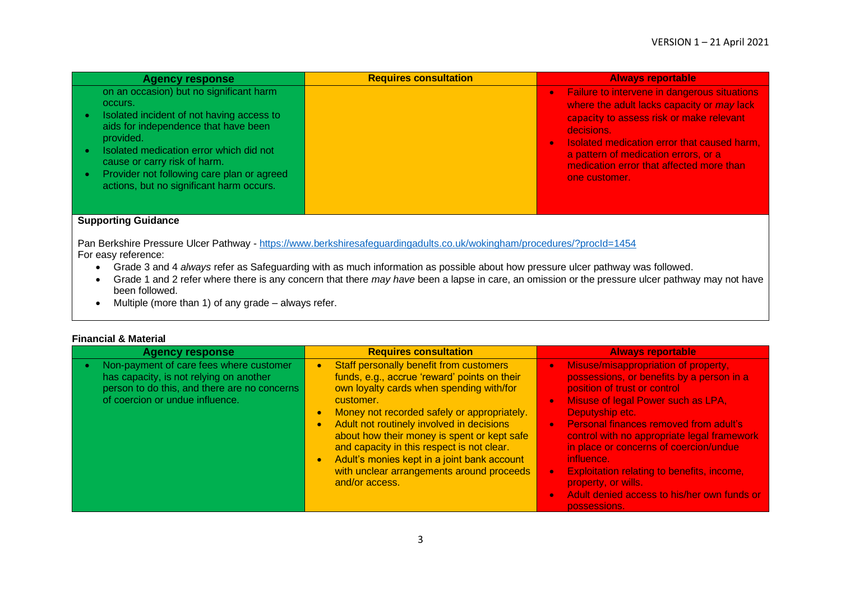| <b>Agency response</b>                                                                                                                                                                                                                                                                                                    | <b>Requires consultation</b> | <b>Always reportable</b>                                                                                                                                                                                                                                                                                                                   |
|---------------------------------------------------------------------------------------------------------------------------------------------------------------------------------------------------------------------------------------------------------------------------------------------------------------------------|------------------------------|--------------------------------------------------------------------------------------------------------------------------------------------------------------------------------------------------------------------------------------------------------------------------------------------------------------------------------------------|
| on an occasion) but no significant harm<br>occurs.<br>Isolated incident of not having access to<br>aids for independence that have been<br>provided.<br>Isolated medication error which did not<br>cause or carry risk of harm.<br>Provider not following care plan or agreed<br>actions, but no significant harm occurs. |                              | <b>Exailure to intervene in dangerous situations</b><br>$\bullet$<br>where the adult lacks capacity or may lack<br>capacity to assess risk or make relevant<br>decisions.<br>Isolated medication error that caused harm,<br>$\bullet$<br>a pattern of medication errors, or a<br>medication error that affected more than<br>one customer. |
| <b>Supporting Guidance</b>                                                                                                                                                                                                                                                                                                |                              |                                                                                                                                                                                                                                                                                                                                            |

Pan Berkshire Pressure Ulcer Pathway - <https://www.berkshiresafeguardingadults.co.uk/wokingham/procedures/?procId=1454> For easy reference:

- Grade 3 and 4 *always* refer as Safeguarding with as much information as possible about how pressure ulcer pathway was followed.
- Grade 1 and 2 refer where there is any concern that there *may have* been a lapse in care, an omission or the pressure ulcer pathway may not have been followed.
- Multiple (more than 1) of any grade always refer.

| <b>Financial &amp; Material</b> |  |  |
|---------------------------------|--|--|
|---------------------------------|--|--|

| <b>Agency response</b>                                                                                                                                                | <b>Requires consultation</b>                                                                                                                                                                                                                                                                                                                                                                                                                            | <b>Always reportable</b>                                                                                                                                                                                                                                                                                                                                                                                                                                                      |
|-----------------------------------------------------------------------------------------------------------------------------------------------------------------------|---------------------------------------------------------------------------------------------------------------------------------------------------------------------------------------------------------------------------------------------------------------------------------------------------------------------------------------------------------------------------------------------------------------------------------------------------------|-------------------------------------------------------------------------------------------------------------------------------------------------------------------------------------------------------------------------------------------------------------------------------------------------------------------------------------------------------------------------------------------------------------------------------------------------------------------------------|
| Non-payment of care fees where customer<br>has capacity, is not relying on another<br>person to do this, and there are no concerns<br>of coercion or undue influence. | Staff personally benefit from customers<br>funds, e.g., accrue 'reward' points on their<br>own loyalty cards when spending with/for<br>customer.<br>Money not recorded safely or appropriately.<br>Adult not routinely involved in decisions<br>about how their money is spent or kept safe<br>and capacity in this respect is not clear.<br>Adult's monies kept in a joint bank account<br>with unclear arrangements around proceeds<br>and/or access. | Misuse/misappropriation of property,<br>possessions, or benefits by a person in a<br>position of trust or control<br>Misuse of legal Power such as LPA,<br>Deputyship etc.<br><b>Personal finances removed from adult's</b><br>control with no appropriate legal framework<br>in place or concerns of coercion/undue<br>influence.<br><b>Exploitation relating to benefits, income,</b><br>property, or wills.<br>Adult denied access to his/her own funds or<br>possessions. |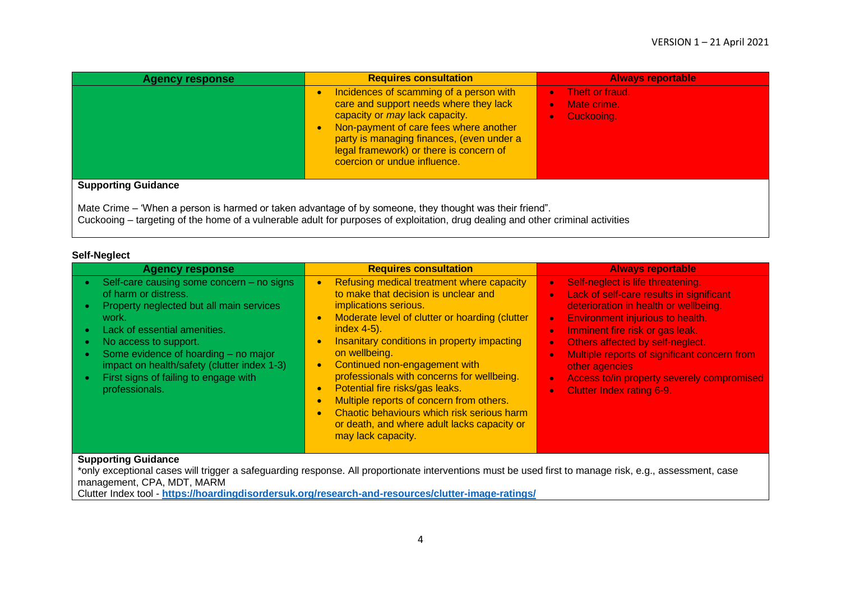| <b>Agency response</b>     | <b>Requires consultation</b>                                                                                                                                                                                                                                                                                    | <b>Always reportable</b>                                                            |
|----------------------------|-----------------------------------------------------------------------------------------------------------------------------------------------------------------------------------------------------------------------------------------------------------------------------------------------------------------|-------------------------------------------------------------------------------------|
|                            | Incidences of scamming of a person with<br>$\bullet$<br>care and support needs where they lack<br>capacity or may lack capacity.<br>Non-payment of care fees where another<br>$\bullet$<br>party is managing finances, (even under a<br>legal framework) or there is concern of<br>coercion or undue influence. | Theft or fraud.<br>$\bullet$<br>Mate crime.<br>$\bullet$<br>Cuckooing.<br>$\bullet$ |
| <b>Supporting Guidance</b> |                                                                                                                                                                                                                                                                                                                 |                                                                                     |
|                            | Mate Crime – 'When a person is harmed or taken advantage of by someone, they thought was their friend".                                                                                                                                                                                                         |                                                                                     |

Cuckooing – targeting of the home of a vulnerable adult for purposes of exploitation, drug dealing and other criminal activities

## **Self-Neglect**

| <b>Agency response</b>                                                                                                                                                                                                                                                                                                                                      | <b>Requires consultation</b>                                                                                                                                                                                                                                                                                                                                                                                                                                                                                                                                                                                            | <b>Always reportable</b>                                                                                                                                                                                                                                                                                                                                                                                                                                                                             |
|-------------------------------------------------------------------------------------------------------------------------------------------------------------------------------------------------------------------------------------------------------------------------------------------------------------------------------------------------------------|-------------------------------------------------------------------------------------------------------------------------------------------------------------------------------------------------------------------------------------------------------------------------------------------------------------------------------------------------------------------------------------------------------------------------------------------------------------------------------------------------------------------------------------------------------------------------------------------------------------------------|------------------------------------------------------------------------------------------------------------------------------------------------------------------------------------------------------------------------------------------------------------------------------------------------------------------------------------------------------------------------------------------------------------------------------------------------------------------------------------------------------|
| Self-care causing some concern - no signs<br>of harm or distress.<br>Property neglected but all main services<br>work.<br>Lack of essential amenities.<br>$\bullet$<br>No access to support.<br>$\bullet$<br>Some evidence of hoarding - no major<br>impact on health/safety (clutter index 1-3)<br>First signs of failing to engage with<br>professionals. | Refusing medical treatment where capacity<br>$\bullet$<br>to make that decision is unclear and<br>implications serious.<br>Moderate level of clutter or hoarding (clutter<br>$\bullet$<br>index 4-5).<br>Insanitary conditions in property impacting<br>$\bullet$<br>on wellbeing.<br>Continued non-engagement with<br>$\bullet$<br>professionals with concerns for wellbeing.<br>Potential fire risks/gas leaks.<br>$\bullet$<br>Multiple reports of concern from others.<br>$\bullet$<br>Chaotic behaviours which risk serious harm<br>$\bullet$<br>or death, and where adult lacks capacity or<br>may lack capacity. | Self-neglect is life threatening.<br>$\bullet$<br>Lack of self-care results in significant<br>$\bullet$<br>deterioration in health or wellbeing.<br><b>Environment injurious to health.</b><br>$\bullet$<br>Imminent fire risk or gas leak.<br>$\bullet$<br>Others affected by self-neglect.<br>$\bullet$<br>Multiple reports of significant concern from<br>$\bullet$<br>other agencies<br>Access to/in property severely compromised<br>$\bullet$<br><b>Clutter Index rating 6-9.</b><br>$\bullet$ |
| <b>Supporting Guidance</b>                                                                                                                                                                                                                                                                                                                                  | toply exceptional cases will trigger a safequarding response. All proportionate interventions must be used first to manage risk e guassessment case                                                                                                                                                                                                                                                                                                                                                                                                                                                                     |                                                                                                                                                                                                                                                                                                                                                                                                                                                                                                      |

\*only exceptional cases will trigger a safeguarding response. All proportionate interventions must be used first to manage risk, e.g., assessment, case management, CPA, MDT, MARM

Clutter Index tool - **<https://hoardingdisordersuk.org/research-and-resources/clutter-image-ratings/>**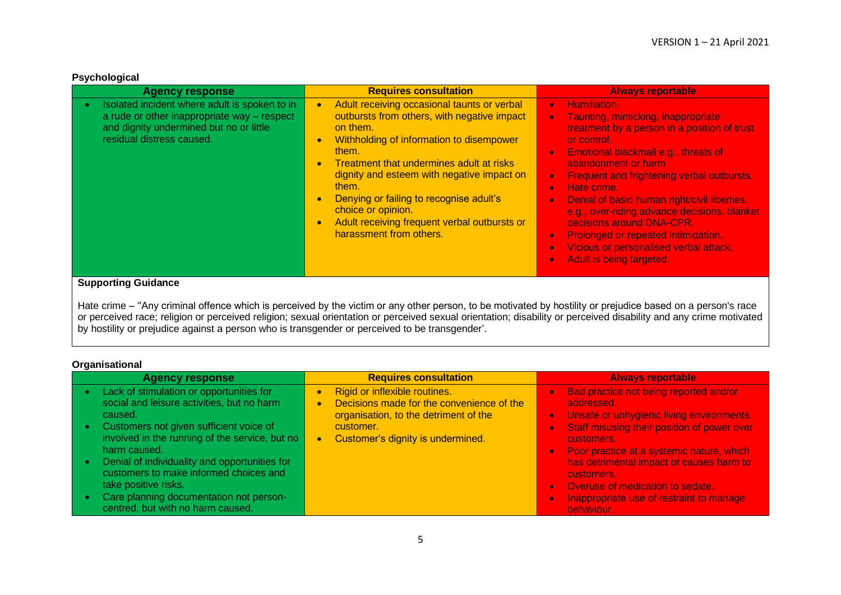| <b>Agency response</b>                                                                                                                                               | <b>Requires consultation</b>                                                                                                                                                                                                                                                                                                                                                                                                                                                | <b>Always reportable</b>                                                                                                                                                                                                                                                                                                                                                                                                                                                                                                                                                                                     |
|----------------------------------------------------------------------------------------------------------------------------------------------------------------------|-----------------------------------------------------------------------------------------------------------------------------------------------------------------------------------------------------------------------------------------------------------------------------------------------------------------------------------------------------------------------------------------------------------------------------------------------------------------------------|--------------------------------------------------------------------------------------------------------------------------------------------------------------------------------------------------------------------------------------------------------------------------------------------------------------------------------------------------------------------------------------------------------------------------------------------------------------------------------------------------------------------------------------------------------------------------------------------------------------|
| Isolated incident where adult is spoken to in<br>a rude or other inappropriate way - respect<br>and dignity undermined but no or little<br>residual distress caused. | Adult receiving occasional taunts or verbal<br>$\bullet$<br>outbursts from others, with negative impact<br>on them.<br>Withholding of information to disempower<br>$\bullet$<br>them.<br>Treatment that undermines adult at risks<br>$\bullet$<br>dignity and esteem with negative impact on<br>them.<br>Denying or failing to recognise adult's<br>$\bullet$<br>choice or opinion.<br>Adult receiving frequent verbal outbursts or<br>$\bullet$<br>harassment from others. | Humiliation.<br>$\bullet$<br>Taunting, mimicking, inappropriate<br>$\bullet$<br>treatment by a person in a position of trust<br>or control.<br>Emotional blackmail e.g., threats of<br>$\bullet$<br>abandonment or harm<br>Frequent and frightening verbal outbursts.<br>$\bullet$<br>Hate crime.<br>$\bullet$<br>Denial of basic human right/civil liberties,<br>$\bullet$<br>e.g., over-riding advance decisions, blanket<br>decisions around DNA-CPR.<br>Prolonged or repeated intimidation.<br>$\bullet$<br>Vicious or personalised verbal attack.<br>$\bullet$<br>Adult is being targeted.<br>$\bullet$ |
| <b>Supporting Guidance</b>                                                                                                                                           |                                                                                                                                                                                                                                                                                                                                                                                                                                                                             |                                                                                                                                                                                                                                                                                                                                                                                                                                                                                                                                                                                                              |

Hate crime – ''Any criminal offence which is perceived by the victim or any other person, to be motivated by hostility or prejudice based on a person's race or perceived race; religion or perceived religion; sexual orientation or perceived sexual orientation; disability or perceived disability and any crime motivated by hostility or prejudice against a person who is transgender or perceived to be transgender'.

## **Organisational**

| <b>Agency response</b>                                                                                                                                                                                                                   | <b>Requires consultation</b>                                                                                                                                                                    | <b>Always reportable</b>                                                                                                                                                                          |
|------------------------------------------------------------------------------------------------------------------------------------------------------------------------------------------------------------------------------------------|-------------------------------------------------------------------------------------------------------------------------------------------------------------------------------------------------|---------------------------------------------------------------------------------------------------------------------------------------------------------------------------------------------------|
| Lack of stimulation or opportunities for<br>$\bullet$<br>social and leisure activities, but no harm<br>caused.<br>Customers not given sufficient voice of<br>$\bullet$<br>involved in the running of the service, but no<br>harm caused. | Rigid or inflexible routines.<br>$\bullet$<br>Decisions made for the convenience of the<br>$\bullet$<br>organisation, to the detriment of the<br>customer.<br>Customer's dignity is undermined. | Bad practice not being reported and/or<br>addressed.<br>Unsafe or unhygienic living environments.<br>Staff misusing their position of power over<br>customers.                                    |
| Denial of individuality and opportunities for<br>$\bullet$<br>customers to make informed choices and<br>take positive risks.<br>Care planning documentation not person-<br>centred, but with no harm caused.                             |                                                                                                                                                                                                 | Poor practice at a systemic nature, which<br>has detrimental impact or causes harm to<br>customers.<br>Overuse of medication to sedate.<br>Inappropriate use of restraint to manage<br>behaviour. |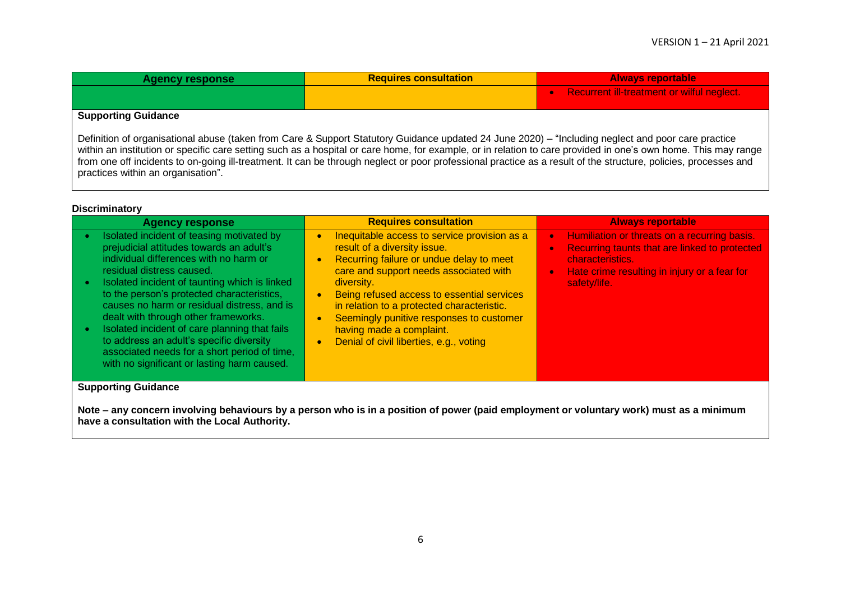| <b>Agency response</b>     | <b>Requires consultation</b> | <b>Always reportable</b>                     |
|----------------------------|------------------------------|----------------------------------------------|
|                            |                              | • Recurrent ill-treatment or wilful neglect. |
| <b>Supporting Guidance</b> |                              |                                              |

Definition of organisational abuse (taken from Care & Support Statutory Guidance updated 24 June 2020) – "Including neglect and poor care practice within an institution or specific care setting such as a hospital or care home, for example, or in relation to care provided in one's own home. This may range from one off incidents to on-going ill-treatment. It can be through neglect or poor professional practice as a result of the structure, policies, processes and practices within an organisation".

#### **Discriminatory**

| <b>Agency response</b>                                                                                                                                                                                                                                                                                                                                                                                                                                                                                                                         | <b>Requires consultation</b>                                                                                                                                                                                                                                                                                                                                                                                                                                     | <b>Always reportable</b>                                                                                                                                                                                                 |
|------------------------------------------------------------------------------------------------------------------------------------------------------------------------------------------------------------------------------------------------------------------------------------------------------------------------------------------------------------------------------------------------------------------------------------------------------------------------------------------------------------------------------------------------|------------------------------------------------------------------------------------------------------------------------------------------------------------------------------------------------------------------------------------------------------------------------------------------------------------------------------------------------------------------------------------------------------------------------------------------------------------------|--------------------------------------------------------------------------------------------------------------------------------------------------------------------------------------------------------------------------|
| Isolated incident of teasing motivated by<br>prejudicial attitudes towards an adult's<br>individual differences with no harm or<br>residual distress caused.<br>Isolated incident of taunting which is linked<br>to the person's protected characteristics,<br>causes no harm or residual distress, and is<br>dealt with through other frameworks.<br>Isolated incident of care planning that fails<br>to address an adult's specific diversity<br>associated needs for a short period of time,<br>with no significant or lasting harm caused. | Inequitable access to service provision as a<br>$\bullet$<br>result of a diversity issue.<br>Recurring failure or undue delay to meet<br>$\bullet$<br>care and support needs associated with<br>diversity.<br>Being refused access to essential services<br>$\bullet$<br>in relation to a protected characteristic.<br>Seemingly punitive responses to customer<br>$\bullet$<br>having made a complaint.<br>Denial of civil liberties, e.g., voting<br>$\bullet$ | Humiliation or threats on a recurring basis.<br>$\bullet$<br>Recurring taunts that are linked to protected<br>$\bullet$<br>characteristics.<br>Hate crime resulting in injury or a fear for<br>$\bullet$<br>safety/life. |
| <b>Supporting Guidance</b>                                                                                                                                                                                                                                                                                                                                                                                                                                                                                                                     |                                                                                                                                                                                                                                                                                                                                                                                                                                                                  |                                                                                                                                                                                                                          |

**Note – any concern involving behaviours by a person who is in a position of power (paid employment or voluntary work) must as a minimum have a consultation with the Local Authority.**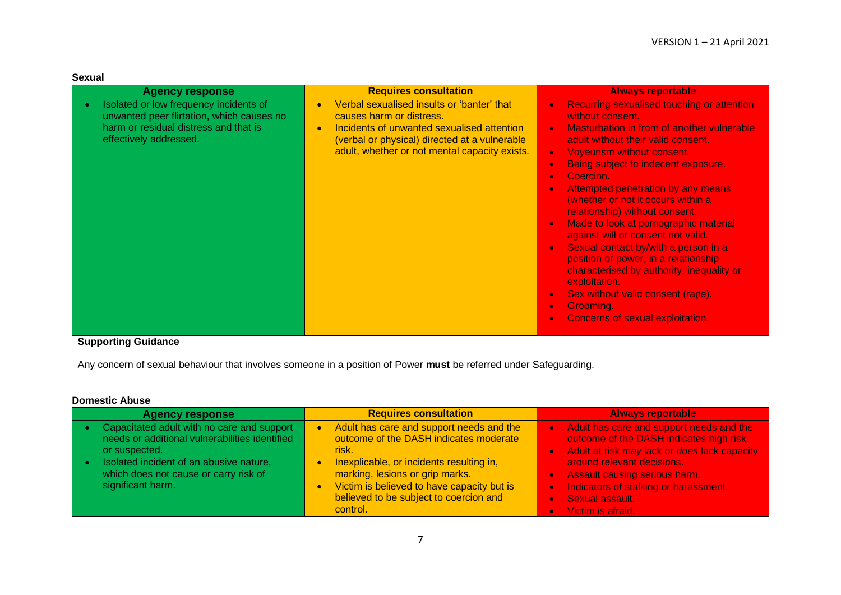| X I<br>U |
|----------|
|----------|

| <b>Agency response</b>                                                                                                                                                                            | <b>Requires consultation</b>                                                                                                                                                                                                                     | <b>Always reportable</b>                                                                                                                                                                                                                                                                                                                                                                                                                                                                                                                                                                                                                                                                                            |
|---------------------------------------------------------------------------------------------------------------------------------------------------------------------------------------------------|--------------------------------------------------------------------------------------------------------------------------------------------------------------------------------------------------------------------------------------------------|---------------------------------------------------------------------------------------------------------------------------------------------------------------------------------------------------------------------------------------------------------------------------------------------------------------------------------------------------------------------------------------------------------------------------------------------------------------------------------------------------------------------------------------------------------------------------------------------------------------------------------------------------------------------------------------------------------------------|
| Isolated or low frequency incidents of<br>$\bullet$<br>unwanted peer flirtation, which causes no<br>harm or residual distress and that is<br>effectively addressed.<br><b>Supporting Guidance</b> | Verbal sexualised insults or 'banter' that<br>$\bullet$<br>causes harm or distress.<br>Incidents of unwanted sexualised attention<br>$\bullet$<br>(verbal or physical) directed at a vulnerable<br>adult, whether or not mental capacity exists. | <b>Recurring sexualised touching or attention</b><br>without consent.<br>Masturbation in front of another vulnerable<br>adult without their valid consent.<br>Voyeurism without consent.<br>Being subject to indecent exposure.<br>$\bullet$<br>Coercion.<br>Attempted penetration by any means<br>(whether or not it occurs within a<br>relationship) without consent.<br>Made to look at pornographic material<br>against will or consent not valid.<br>Sexual contact by/with a person in a<br><b>C</b><br>position or power, in a relationship<br>characterised by authority, inequality or<br>exploitation.<br>Sex without valid consent (rape).<br>Grooming.<br>$\bullet$<br>Concerns of sexual exploitation. |
|                                                                                                                                                                                                   |                                                                                                                                                                                                                                                  |                                                                                                                                                                                                                                                                                                                                                                                                                                                                                                                                                                                                                                                                                                                     |

Any concern of sexual behaviour that involves someone in a position of Power **must** be referred under Safeguarding.

## **Domestic Abuse**

| <b>Agency response</b>                                                                                                                                                                                                 | <b>Requires consultation</b>                                                                                                                                                                                                                                                   | <b>Always reportable</b>                                                                                                                                                                                                                                                                      |
|------------------------------------------------------------------------------------------------------------------------------------------------------------------------------------------------------------------------|--------------------------------------------------------------------------------------------------------------------------------------------------------------------------------------------------------------------------------------------------------------------------------|-----------------------------------------------------------------------------------------------------------------------------------------------------------------------------------------------------------------------------------------------------------------------------------------------|
| Capacitated adult with no care and support<br>needs or additional vulnerabilities identified<br>or suspected.<br>Isolated incident of an abusive nature,<br>which does not cause or carry risk of<br>significant harm. | Adult has care and support needs and the<br>outcome of the DASH indicates moderate<br>risk.<br>Inexplicable, or incidents resulting in,<br>marking, lesions or grip marks.<br>Victim is believed to have capacity but is<br>believed to be subject to coercion and<br>control. | . Adult has care and support needs and the<br>outcome of the DASH indicates high risk.<br>Adult at risk may lack or does lack capacity<br>around relevant decisions.<br><b>Assault causing serious harm.</b><br>Indicators of stalking or harassment.<br>Sexual assault.<br>Victim is afraid. |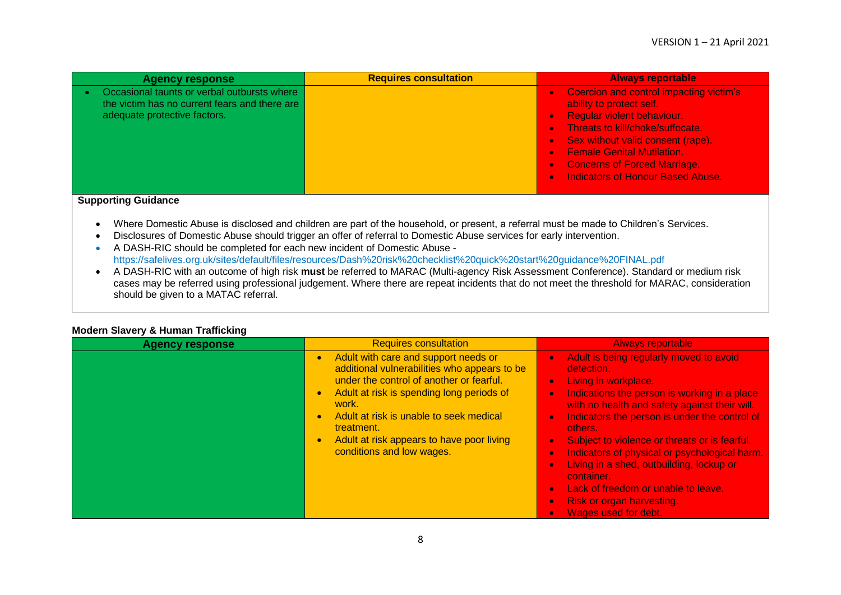| <b>Agency response</b>                                                                       | <b>Requires consultation</b> | <b>Always reportable</b>                                                         |
|----------------------------------------------------------------------------------------------|------------------------------|----------------------------------------------------------------------------------|
| Occasional taunts or verbal outbursts where<br>the victim has no current fears and there are |                              | Coercion and control impacting victim's<br>$\bullet$<br>ability to protect self. |
| adequate protective factors.                                                                 |                              | <b>Regular violent behaviour.</b>                                                |
|                                                                                              |                              | Threats to kill/choke/suffocate.<br>$\bullet$                                    |
|                                                                                              |                              | Sex without valid consent (rape).                                                |
|                                                                                              |                              | <b>Female Genital Mutilation.</b><br>$\bullet$                                   |
|                                                                                              |                              | <b>Concerns of Forced Marriage.</b><br>$\bullet$                                 |
|                                                                                              |                              | <b>Indicators of Honour Based Abuse.</b><br>$\bullet$                            |
|                                                                                              |                              |                                                                                  |

## **Supporting Guidance**

- Where Domestic Abuse is disclosed and children are part of the household, or present, a referral must be made to Children's Services.
- Disclosures of Domestic Abuse should trigger an offer of referral to Domestic Abuse services for early intervention.
- A DASH-RIC should be completed for each new incident of Domestic Abuse https://safelives.org.uk/sites/default/files/resources/Dash%20risk%20checklist%20quick%20start%20guidance%20FINAL.pdf
- A DASH-RIC with an outcome of high risk **must** be referred to MARAC (Multi-agency Risk Assessment Conference). Standard or medium risk cases may be referred using professional judgement. Where there are repeat incidents that do not meet the threshold for MARAC, consideration should be given to a MATAC referral.

| <b>Agency response</b> | <b>Requires consultation</b>                                                                                                                                                                                                                                                                                              | <b>Always reportable</b>                                                                                                                                                                                                                                                                                                                                                                                                                                                                                  |
|------------------------|---------------------------------------------------------------------------------------------------------------------------------------------------------------------------------------------------------------------------------------------------------------------------------------------------------------------------|-----------------------------------------------------------------------------------------------------------------------------------------------------------------------------------------------------------------------------------------------------------------------------------------------------------------------------------------------------------------------------------------------------------------------------------------------------------------------------------------------------------|
|                        | Adult with care and support needs or<br>additional vulnerabilities who appears to be<br>under the control of another or fearful.<br>Adult at risk is spending long periods of<br>work.<br>Adult at risk is unable to seek medical<br>treatment.<br>Adult at risk appears to have poor living<br>conditions and low wages. | Adult is being regularly moved to avoid<br>detection.<br>Living in workplace.<br>Indications the person is working in a place<br>with no health and safety against their will.<br>Indicators the person is under the control of<br>others.<br>Subject to violence or threats or is fearful.<br>Indicators of physical or psychological harm.<br>Living in a shed, outbuilding, lockup or<br>container.<br>Lack of freedom or unable to leave.<br><b>Risk or organ harvesting.</b><br>Wages used for debt. |

## **Modern Slavery & Human Trafficking**